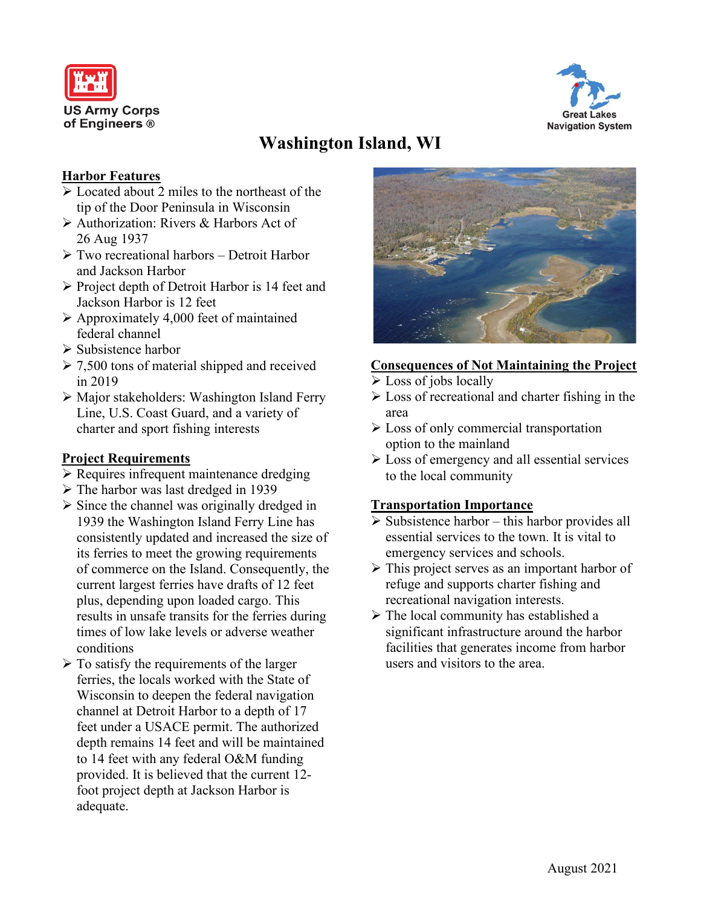



# **Washington Island, WI**

## **Harbor Features**

- $\triangleright$  Located about 2 miles to the northeast of the tip of the Door Peninsula in Wisconsin
- Authorization: Rivers & Harbors Act of 26 Aug 1937
- Two recreational harbors Detroit Harbor and Jackson Harbor
- $\triangleright$  Project depth of Detroit Harbor is 14 feet and Jackson Harbor is 12 feet
- $\triangleright$  Approximately 4,000 feet of maintained federal channel
- $\triangleright$  Subsistence harbor
- $\geq 7,500$  tons of material shipped and received in 2019
- $\triangleright$  Major stakeholders: Washington Island Ferry Line, U.S. Coast Guard, and a variety of charter and sport fishing interests

# **Project Requirements**

- Requires infrequent maintenance dredging
- $\triangleright$  The harbor was last dredged in 1939
- $\triangleright$  Since the channel was originally dredged in 1939 the Washington Island Ferry Line has consistently updated and increased the size of its ferries to meet the growing requirements of commerce on the Island. Consequently, the current largest ferries have drafts of 12 feet plus, depending upon loaded cargo. This results in unsafe transits for the ferries during times of low lake levels or adverse weather conditions
- $\triangleright$  To satisfy the requirements of the larger ferries, the locals worked with the State of Wisconsin to deepen the federal navigation channel at Detroit Harbor to a depth of 17 feet under a USACE permit. The authorized depth remains 14 feet and will be maintained to 14 feet with any federal O&M funding provided. It is believed that the current 12 foot project depth at Jackson Harbor is adequate.



## **Consequences of Not Maintaining the Project**

- $\triangleright$  Loss of jobs locally
- $\triangleright$  Loss of recreational and charter fishing in the area
- Loss of only commercial transportation option to the mainland
- $\triangleright$  Loss of emergency and all essential services to the local community

## **Transportation Importance**

- $\triangleright$  Subsistence harbor this harbor provides all essential services to the town. It is vital to emergency services and schools.
- $\triangleright$  This project serves as an important harbor of refuge and supports charter fishing and recreational navigation interests.
- $\triangleright$  The local community has established a significant infrastructure around the harbor facilities that generates income from harbor users and visitors to the area.